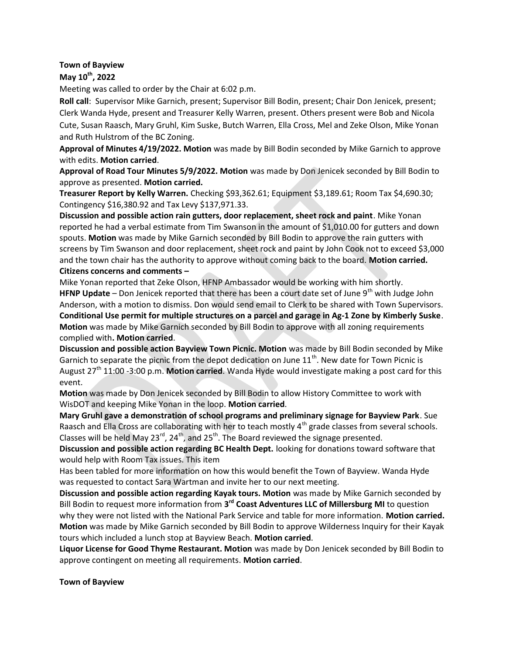## Town of Bayview

## May 10<sup>th</sup>, 2022

Meeting was called to order by the Chair at 6:02 p.m.

Roll call: Supervisor Mike Garnich, present; Supervisor Bill Bodin, present; Chair Don Jenicek, present; Clerk Wanda Hyde, present and Treasurer Kelly Warren, present. Others present were Bob and Nicola Cute, Susan Raasch, Mary Gruhl, Kim Suske, Butch Warren, Ella Cross, Mel and Zeke Olson, Mike Yonan and Ruth Hulstrom of the BC Zoning.

Approval of Minutes 4/19/2022. Motion was made by Bill Bodin seconded by Mike Garnich to approve with edits. Motion carried.

Approval of Road Tour Minutes 5/9/2022. Motion was made by Don Jenicek seconded by Bill Bodin to approve as presented. Motion carried.

Treasurer Report by Kelly Warren. Checking \$93,362.61; Equipment \$3,189.61; Room Tax \$4,690.30; Contingency \$16,380.92 and Tax Levy \$137,971.33.

Discussion and possible action rain gutters, door replacement, sheet rock and paint. Mike Yonan reported he had a verbal estimate from Tim Swanson in the amount of \$1,010.00 for gutters and down spouts. Motion was made by Mike Garnich seconded by Bill Bodin to approve the rain gutters with screens by Tim Swanson and door replacement, sheet rock and paint by John Cook not to exceed \$3,000 and the town chair has the authority to approve without coming back to the board. Motion carried. Citizens concerns and comments –

Mike Yonan reported that Zeke Olson, HFNP Ambassador would be working with him shortly. HFNP Update – Don Jenicek reported that there has been a court date set of June  $9<sup>th</sup>$  with Judge John Anderson, with a motion to dismiss. Don would send email to Clerk to be shared with Town Supervisors. Conditional Use permit for multiple structures on a parcel and garage in Ag-1 Zone by Kimberly Suske. Motion was made by Mike Garnich seconded by Bill Bodin to approve with all zoning requirements complied with. Motion carried.

Discussion and possible action Bayview Town Picnic. Motion was made by Bill Bodin seconded by Mike Garnich to separate the picnic from the depot dedication on June  $11<sup>th</sup>$ . New date for Town Picnic is August  $27<sup>th</sup>$  11:00 -3:00 p.m. Motion carried. Wanda Hyde would investigate making a post card for this event.

Motion was made by Don Jenicek seconded by Bill Bodin to allow History Committee to work with WisDOT and keeping Mike Yonan in the loop. Motion carried.

Mary Gruhl gave a demonstration of school programs and preliminary signage for Bayview Park. Sue Raasch and Ella Cross are collaborating with her to teach mostly 4<sup>th</sup> grade classes from several schools. Classes will be held May  $23^{\text{rd}}$ ,  $24^{\text{th}}$ , and  $25^{\text{th}}$ . The Board reviewed the signage presented.

Discussion and possible action regarding BC Health Dept. looking for donations toward software that would help with Room Tax issues. This item

Has been tabled for more information on how this would benefit the Town of Bayview. Wanda Hyde was requested to contact Sara Wartman and invite her to our next meeting.

Discussion and possible action regarding Kayak tours. Motion was made by Mike Garnich seconded by Bill Bodin to request more information from 3<sup>rd</sup> Coast Adventures LLC of Millersburg MI to question why they were not listed with the National Park Service and table for more information. Motion carried. Motion was made by Mike Garnich seconded by Bill Bodin to approve Wilderness Inquiry for their Kayak tours which included a lunch stop at Bayview Beach. Motion carried.

Liquor License for Good Thyme Restaurant. Motion was made by Don Jenicek seconded by Bill Bodin to approve contingent on meeting all requirements. Motion carried.

Town of Bayview